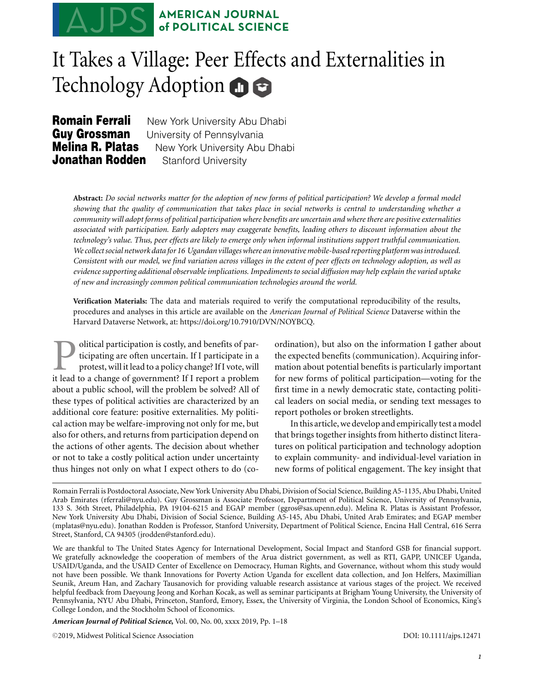

# It Takes a Village: Peer Effects and Externalities in Technology Adoption

**Romain Ferrali** New York University Abu Dhabi **Guy Grossman** University of Pennsylvania **Melina R. Platas** New York University Abu Dhabi<br>**Jonathan Rodden** Stanford University

**Stanford University** 

**Abstract:** *Do social networks matter for the adoption of new forms of political participation? We develop a formal model showing that the quality of communication that takes place in social networks is central to understanding whether a community will adopt forms of political participation where benefits are uncertain and where there are positive externalities associated with participation. Early adopters may exaggerate benefits, leading others to discount information about the technology's value. Thus, peer effects are likely to emerge only when informal institutions support truthful communication. We collect social network data for 16 Ugandan villages where an innovative mobile-based reporting platform was introduced. Consistent with our model, we find variation across villages in the extent of peer effects on technology adoption, as well as evidence supporting additional observable implications. Impediments to social diffusion may help explain the varied uptake of new and increasingly common political communication technologies around the world.*

**Verification Materials:** The data and materials required to verify the computational reproducibility of the results, procedures and analyses in this article are available on the *American Journal of Political Science* Dataverse within the Harvard Dataverse Network, at: [https://doi.org/10.7910/DVN/NOYBCQ.](https://doi.org/10.7910/DVN/NOYBCQ)

**Political participation is costly, and benefits of participating are often uncertain. If I participate in a protest, will it lead to a policy change? If I vote, will it lead to a change of government? If I report a proble** ticipating are often uncertain. If I participate in a protest, will it lead to a policy change? If I vote, will it lead to a change of government? If I report a problem about a public school, will the problem be solved? All of these types of political activities are characterized by an additional core feature: positive externalities. My political action may be welfare-improving not only for me, but also for others, and returns from participation depend on the actions of other agents. The decision about whether or not to take a costly political action under uncertainty thus hinges not only on what I expect others to do (co-

ordination), but also on the information I gather about the expected benefits (communication). Acquiring information about potential benefits is particularly important for new forms of political participation—voting for the first time in a newly democratic state, contacting political leaders on social media, or sending text messages to report potholes or broken streetlights.

In this article, we develop and empirically test a model that brings together insights from hitherto distinct literatures on political participation and technology adoption to explain community- and individual-level variation in new forms of political engagement. The key insight that

Romain Ferrali is Postdoctoral Associate, New York University Abu Dhabi, Division of Social Science, Building A5-1135, Abu Dhabi, United Arab Emirates (rferrali@nyu.edu). Guy Grossman is Associate Professor, Department of Political Science, University of Pennsylvania, 133 S. 36th Street, Philadelphia, PA 19104-6215 and EGAP member (ggros@sas.upenn.edu). Melina R. Platas is Assistant Professor, New York University Abu Dhabi, Division of Social Science, Building A5-145, Abu Dhabi, United Arab Emirates; and EGAP member (mplatas@nyu.edu). Jonathan Rodden is Professor, Stanford University, Department of Political Science, Encina Hall Central, 616 Serra Street, Stanford, CA 94305 (jrodden@stanford.edu).

We are thankful to The United States Agency for International Development, Social Impact and Stanford GSB for financial support. We gratefully acknowledge the cooperation of members of the Arua district government, as well as RTI, GAPP, UNICEF Uganda, USAID/Uganda, and the USAID Center of Excellence on Democracy, Human Rights, and Governance, without whom this study would not have been possible. We thank Innovations for Poverty Action Uganda for excellent data collection, and Jon Helfers, Maximillian Seunik, Areum Han, and Zachary Tausanovich for providing valuable research assistance at various stages of the project. We received helpful feedback from Daeyoung Jeong and Korhan Kocak, as well as seminar participants at Brigham Young University, the University of Pennsylvania, NYU Abu Dhabi, Princeton, Stanford, Emory, Essex, the University of Virginia, the London School of Economics, King's College London, and the Stockholm School of Economics.

*American Journal of Political Science***,** Vol. 00, No. 00, xxxx 2019, Pp. 1–18

-<sup>C</sup> 2019, Midwest Political Science Association DOI: 10.1111/ajps.12471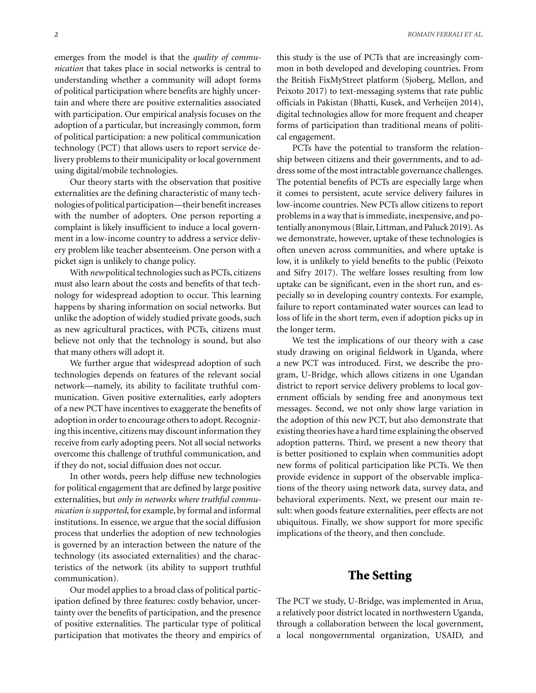emerges from the model is that the *quality of communication* that takes place in social networks is central to understanding whether a community will adopt forms of political participation where benefits are highly uncertain and where there are positive externalities associated with participation. Our empirical analysis focuses on the adoption of a particular, but increasingly common, form of political participation: a new political communication technology (PCT) that allows users to report service delivery problems to their municipality or local government using digital/mobile technologies.

Our theory starts with the observation that positive externalities are the defining characteristic of many technologies of political participation—their benefit increases with the number of adopters. One person reporting a complaint is likely insufficient to induce a local government in a low-income country to address a service delivery problem like teacher absenteeism. One person with a picket sign is unlikely to change policy.

With *new*political technologies such as PCTs, citizens must also learn about the costs and benefits of that technology for widespread adoption to occur. This learning happens by sharing information on social networks. But unlike the adoption of widely studied private goods, such as new agricultural practices, with PCTs, citizens must believe not only that the technology is sound, but also that many others will adopt it.

We further argue that widespread adoption of such technologies depends on features of the relevant social network—namely, its ability to facilitate truthful communication. Given positive externalities, early adopters of a new PCT have incentives to exaggerate the benefits of adoption in order to encourage others to adopt. Recognizing this incentive, citizens may discount information they receive from early adopting peers. Not all social networks overcome this challenge of truthful communication, and if they do not, social diffusion does not occur.

In other words, peers help diffuse new technologies for political engagement that are defined by large positive externalities, but *only in networks where truthful communication is supported*, for example, by formal and informal institutions. In essence, we argue that the social diffusion process that underlies the adoption of new technologies is governed by an interaction between the nature of the technology (its associated externalities) and the characteristics of the network (its ability to support truthful communication).

Our model applies to a broad class of political participation defined by three features: costly behavior, uncertainty over the benefits of participation, and the presence of positive externalities. The particular type of political participation that motivates the theory and empirics of this study is the use of PCTs that are increasingly common in both developed and developing countries. From the British FixMyStreet platform (Sjoberg, Mellon, and Peixoto 2017) to text-messaging systems that rate public officials in Pakistan (Bhatti, Kusek, and Verheijen 2014), digital technologies allow for more frequent and cheaper forms of participation than traditional means of political engagement.

PCTs have the potential to transform the relationship between citizens and their governments, and to address some of the most intractable governance challenges. The potential benefits of PCTs are especially large when it comes to persistent, acute service delivery failures in low-income countries. New PCTs allow citizens to report problems in a way that is immediate, inexpensive, and potentially anonymous (Blair, Littman, and Paluck 2019). As we demonstrate, however, uptake of these technologies is often uneven across communities, and where uptake is low, it is unlikely to yield benefits to the public (Peixoto and Sifry 2017). The welfare losses resulting from low uptake can be significant, even in the short run, and especially so in developing country contexts. For example, failure to report contaminated water sources can lead to loss of life in the short term, even if adoption picks up in the longer term.

We test the implications of our theory with a case study drawing on original fieldwork in Uganda, where a new PCT was introduced. First, we describe the program, U-Bridge, which allows citizens in one Ugandan district to report service delivery problems to local government officials by sending free and anonymous text messages. Second, we not only show large variation in the adoption of this new PCT, but also demonstrate that existing theories have a hard time explaining the observed adoption patterns. Third, we present a new theory that is better positioned to explain when communities adopt new forms of political participation like PCTs. We then provide evidence in support of the observable implications of the theory using network data, survey data, and behavioral experiments. Next, we present our main result: when goods feature externalities, peer effects are not ubiquitous. Finally, we show support for more specific implications of the theory, and then conclude.

# **The Setting**

The PCT we study, U-Bridge, was implemented in Arua, a relatively poor district located in northwestern Uganda, through a collaboration between the local government, a local nongovernmental organization, USAID, and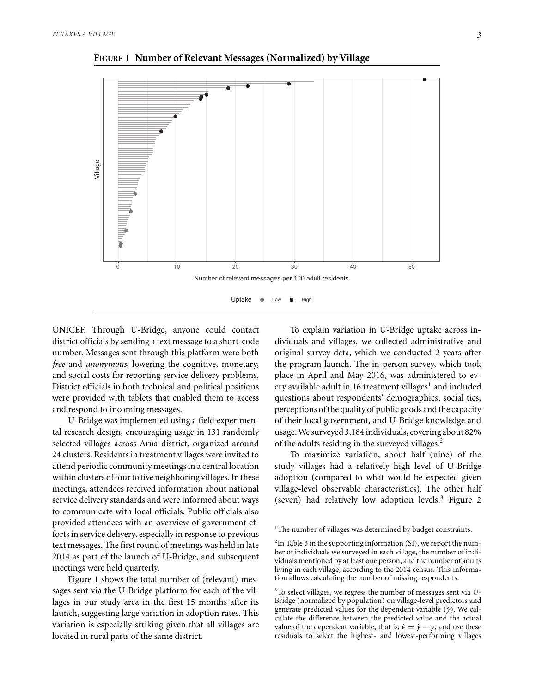

#### **FIGURE 1 Number of Relevant Messages (Normalized) by Village**

UNICEF. Through U-Bridge, anyone could contact district officials by sending a text message to a short-code number. Messages sent through this platform were both *free* and *anonymous*, lowering the cognitive, monetary, and social costs for reporting service delivery problems. District officials in both technical and political positions were provided with tablets that enabled them to access and respond to incoming messages.

U-Bridge was implemented using a field experimental research design, encouraging usage in 131 randomly selected villages across Arua district, organized around 24 clusters. Residents in treatment villages were invited to attend periodic community meetings in a central location within clusters of four to five neighboring villages. In these meetings, attendees received information about national service delivery standards and were informed about ways to communicate with local officials. Public officials also provided attendees with an overview of government efforts in service delivery, especially in response to previous text messages. The first round of meetings was held in late 2014 as part of the launch of U-Bridge, and subsequent meetings were held quarterly.

Figure 1 shows the total number of (relevant) messages sent via the U-Bridge platform for each of the villages in our study area in the first 15 months after its launch, suggesting large variation in adoption rates. This variation is especially striking given that all villages are located in rural parts of the same district.

To explain variation in U-Bridge uptake across individuals and villages, we collected administrative and original survey data, which we conducted 2 years after the program launch. The in-person survey, which took place in April and May 2016, was administered to every available adult in 16 treatment villages<sup>1</sup> and included questions about respondents' demographics, social ties, perceptions of the quality of public goods and the capacity of their local government, and U-Bridge knowledge and usage.We surveyed 3,184 individuals, covering about 82% of the adults residing in the surveyed villages. $2$ 

To maximize variation, about half (nine) of the study villages had a relatively high level of U-Bridge adoption (compared to what would be expected given village-level observable characteristics). The other half (seven) had relatively low adoption levels.<sup>3</sup> Figure 2

<sup>1</sup>The number of villages was determined by budget constraints.

 $2$ In Table 3 in the supporting information (SI), we report the number of individuals we surveyed in each village, the number of individuals mentioned by at least one person, and the number of adults living in each village, according to the 2014 census. This information allows calculating the number of missing respondents.

 $3$ To select villages, we regress the number of messages sent via U-Bridge (normalized by population) on village-level predictors and generate predicted values for the dependent variable  $(\hat{y})$ . We calculate the difference between the predicted value and the actual value of the dependent variable, that is,  $\hat{\epsilon} = \hat{y} - y$ , and use these residuals to select the highest- and lowest-performing villages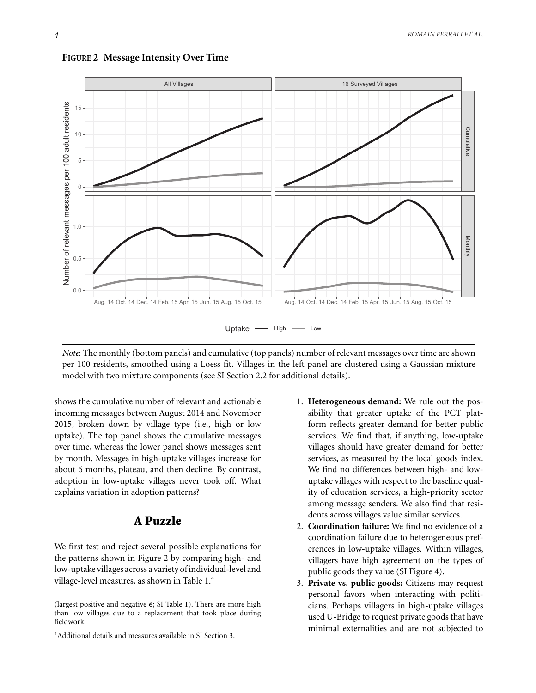

#### **FIGURE 2 Message Intensity Over Time**

*Note*: The monthly (bottom panels) and cumulative (top panels) number of relevant messages over time are shown per 100 residents, smoothed using a Loess fit. Villages in the left panel are clustered using a Gaussian mixture model with two mixture components (see SI Section 2.2 for additional details).

shows the cumulative number of relevant and actionable incoming messages between August 2014 and November 2015, broken down by village type (i.e., high or low uptake). The top panel shows the cumulative messages over time, whereas the lower panel shows messages sent by month. Messages in high-uptake villages increase for about 6 months, plateau, and then decline. By contrast, adoption in low-uptake villages never took off. What explains variation in adoption patterns?

# **A Puzzle**

We first test and reject several possible explanations for the patterns shown in Figure 2 by comparing high- and low-uptake villages across a variety of individual-level and village-level measures, as shown in Table 1.<sup>4</sup>

- 1. **Heterogeneous demand:** We rule out the possibility that greater uptake of the PCT platform reflects greater demand for better public services. We find that, if anything, low-uptake villages should have greater demand for better services, as measured by the local goods index. We find no differences between high- and lowuptake villages with respect to the baseline quality of education services, a high-priority sector among message senders. We also find that residents across villages value similar services.
- 2. **Coordination failure:** We find no evidence of a coordination failure due to heterogeneous preferences in low-uptake villages. Within villages, villagers have high agreement on the types of public goods they value (SI Figure 4).
- 3. **Private vs. public goods:** Citizens may request personal favors when interacting with politicians. Perhaps villagers in high-uptake villages used U-Bridge to request private goods that have minimal externalities and are not subjected to

<sup>(</sup>largest positive and negative  $\hat{\epsilon}$ ; SI Table 1). There are more high than low villages due to a replacement that took place during fieldwork.

<sup>4</sup>Additional details and measures available in SI Section 3.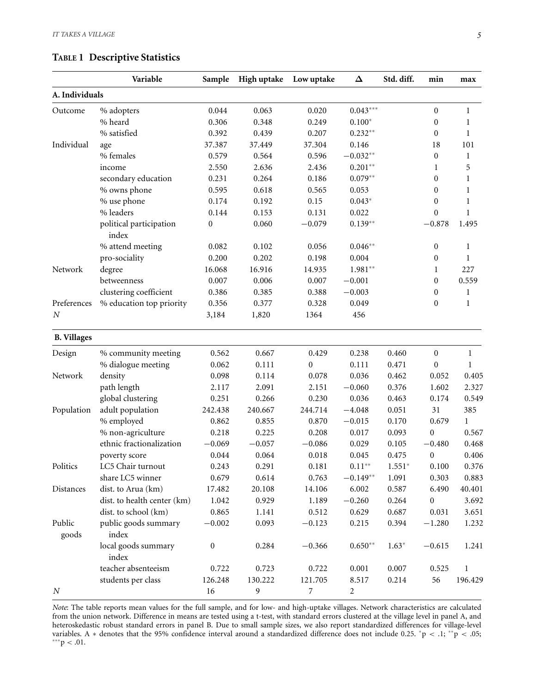# **TABLE 1 Descriptive Statistics**

|                    | Variable                         | Sample           | High uptake | Low uptake       | $\Delta$       | Std. diff. | min              | max          |
|--------------------|----------------------------------|------------------|-------------|------------------|----------------|------------|------------------|--------------|
| A. Individuals     |                                  |                  |             |                  |                |            |                  |              |
| Outcome            | % adopters                       | 0.044            | 0.063       | 0.020            | $0.043***$     |            | $\boldsymbol{0}$ | 1            |
|                    | % heard                          | 0.306            | 0.348       | 0.249            | $0.100*$       |            | $\boldsymbol{0}$ | $\mathbf{1}$ |
|                    | % satisfied                      | 0.392            | 0.439       | 0.207            | $0.232**$      |            | $\boldsymbol{0}$ | $\mathbf{1}$ |
| Individual         | age                              | 37.387           | 37.449      | 37.304           | 0.146          |            | 18               | 101          |
|                    | % females                        | 0.579            | 0.564       | 0.596            | $-0.032**$     |            | $\boldsymbol{0}$ | 1            |
|                    | income                           | 2.550            | 2.636       | 2.436            | $0.201**$      |            | 1                | 5            |
|                    | secondary education              | 0.231            | 0.264       | 0.186            | $0.079**$      |            | $\boldsymbol{0}$ | $\mathbf{1}$ |
|                    | % owns phone                     | 0.595            | 0.618       | 0.565            | 0.053          |            | $\boldsymbol{0}$ | $\mathbf{1}$ |
|                    | % use phone                      | 0.174            | 0.192       | 0.15             | $0.043*$       |            | $\boldsymbol{0}$ | $\mathbf{1}$ |
|                    | % leaders                        | 0.144            | 0.153       | 0.131            | 0.022          |            | $\boldsymbol{0}$ | $\mathbf{1}$ |
|                    | political participation<br>index | $\boldsymbol{0}$ | 0.060       | $-0.079$         | $0.139**$      |            | $-0.878$         | 1.495        |
|                    | % attend meeting                 | 0.082            | 0.102       | 0.056            | $0.046**$      |            | $\boldsymbol{0}$ | 1            |
|                    | pro-sociality                    | 0.200            | 0.202       | 0.198            | 0.004          |            | $\boldsymbol{0}$ | $\mathbf{1}$ |
| Network            | degree                           | 16.068           | 16.916      | 14.935           | $1.981**$      |            | 1                | 227          |
|                    | betweenness                      | 0.007            | 0.006       | 0.007            | $-0.001$       |            | $\boldsymbol{0}$ | 0.559        |
|                    | clustering coefficient           | 0.386            | 0.385       | 0.388            | $-0.003$       |            | $\boldsymbol{0}$ | 1            |
| Preferences        | % education top priority         | 0.356            | 0.377       | 0.328            | 0.049          |            | $\theta$         | $\mathbf{1}$ |
| Ν                  |                                  | 3,184            | 1,820       | 1364             | 456            |            |                  |              |
| <b>B. Villages</b> |                                  |                  |             |                  |                |            |                  |              |
| Design             | % community meeting              | 0.562            | 0.667       | 0.429            | 0.238          | 0.460      | $\boldsymbol{0}$ | $\mathbf{1}$ |
|                    | % dialogue meeting               | 0.062            | 0.111       | $\boldsymbol{0}$ | 0.111          | 0.471      | $\boldsymbol{0}$ | $\mathbf{1}$ |
| Network            | density                          | 0.098            | 0.114       | 0.078            | 0.036          | 0.462      | 0.052            | 0.405        |
|                    | path length                      | 2.117            | 2.091       | 2.151            | $-0.060$       | 0.376      | 1.602            | 2.327        |
|                    | global clustering                | 0.251            | 0.266       | 0.230            | 0.036          | 0.463      | 0.174            | 0.549        |
| Population         | adult population                 | 242.438          | 240.667     | 244.714          | $-4.048$       | 0.051      | 31               | 385          |
|                    | % employed                       | 0.862            | 0.855       | 0.870            | $-0.015$       | 0.170      | 0.679            | $\mathbf{1}$ |
|                    | % non-agriculture                | 0.218            | 0.225       | 0.208            | 0.017          | 0.093      | $\boldsymbol{0}$ | 0.567        |
|                    | ethnic fractionalization         | $-0.069$         | $-0.057$    | $-0.086$         | 0.029          | 0.105      | $-0.480$         | 0.468        |
|                    | poverty score                    | 0.044            | 0.064       | 0.018            | 0.045          | 0.475      | $\boldsymbol{0}$ | 0.406        |
| Politics           | LC5 Chair turnout                | 0.243            | 0.291       | 0.181            | $0.11**$       | $1.551*$   | 0.100            | 0.376        |
|                    | share LC5 winner                 | 0.679            | 0.614       | 0.763            | $-0.149**$     | 1.091      | 0.303            | 0.883        |
| Distances          | dist. to Arua (km)               | 17.482           | 20.108      | 14.106           | 6.002          | 0.587      | 6.490            | 40.401       |
|                    | dist. to health center (km)      | 1.042            | 0.929       | 1.189            | $-0.260$       | 0.264      | $\boldsymbol{0}$ | 3.692        |
|                    | dist. to school (km)             | 0.865            | 1.141       | 0.512            | 0.629          | 0.687      | 0.031            | 3.651        |
| Public<br>goods    | public goods summary<br>index    | $-0.002$         | 0.093       | $-0.123$         | 0.215          | 0.394      | $-1.280$         | 1.232        |
|                    | local goods summary<br>index     | $\boldsymbol{0}$ | 0.284       | $-0.366$         | $0.650**$      | $1.63*$    | $-0.615$         | 1.241        |
|                    | teacher absenteeism              | 0.722            | 0.723       | 0.722            | 0.001          | 0.007      | 0.525            | 1            |
|                    | students per class               | 126.248          | 130.222     | 121.705          | 8.517          | 0.214      | 56               | 196.429      |
| N                  |                                  | 16               | 9           | 7                | $\overline{c}$ |            |                  |              |

*Note*: The table reports mean values for the full sample, and for low- and high-uptake villages. Network characteristics are calculated from the union network. Difference in means are tested using a t-test, with standard errors clustered at the village level in panel A, and heteroskedastic robust standard errors in panel B. Due to small sample sizes, we also report standardized differences for village-level variables. A ∗ denotes that the 95% confidence interval around a standardized difference does not include 0.25. \*p < .1; \*\*p < .05; \*\*\*p < .01.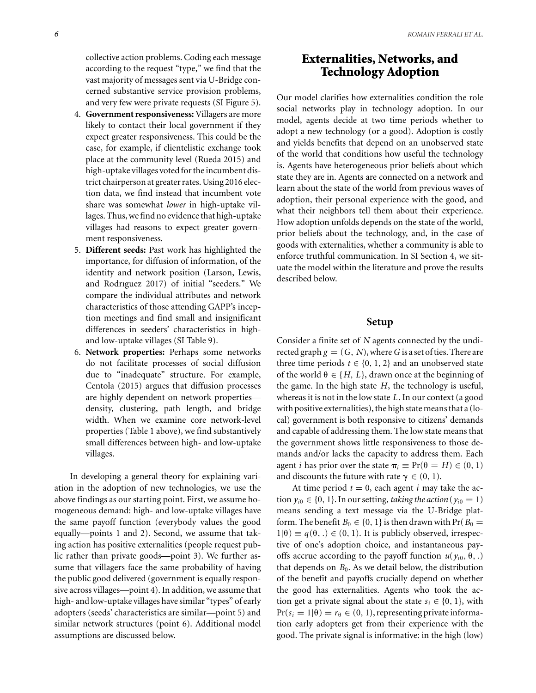collective action problems. Coding each message according to the request "type," we find that the vast majority of messages sent via U-Bridge concerned substantive service provision problems, and very few were private requests (SI Figure 5).

- 4. **Government responsiveness:** Villagers are more likely to contact their local government if they expect greater responsiveness. This could be the case, for example, if clientelistic exchange took place at the community level (Rueda 2015) and high-uptake villages voted for the incumbent district chairperson at greater rates. Using 2016 election data, we find instead that incumbent vote share was somewhat *lower* in high-uptake villages. Thus, wefind no evidence that high-uptake villages had reasons to expect greater government responsiveness.
- 5. **Different seeds:** Past work has highlighted the importance, for diffusion of information, of the identity and network position (Larson, Lewis, and Rodrıguez 2017) of initial "seeders." We compare the individual attributes and network characteristics of those attending GAPP's inception meetings and find small and insignificant differences in seeders' characteristics in highand low-uptake villages (SI Table 9).
- 6. **Network properties:** Perhaps some networks do not facilitate processes of social diffusion due to "inadequate" structure. For example, Centola (2015) argues that diffusion processes are highly dependent on network properties density, clustering, path length, and bridge width. When we examine core network-level properties (Table 1 above), we find substantively small differences between high- and low-uptake villages.

In developing a general theory for explaining variation in the adoption of new technologies, we use the above findings as our starting point. First, we assume homogeneous demand: high- and low-uptake villages have the same payoff function (everybody values the good equally—points 1 and 2). Second, we assume that taking action has positive externalities (people request public rather than private goods—point 3). We further assume that villagers face the same probability of having the public good delivered (government is equally responsive across villages—point 4). In addition, we assume that high- and low-uptake villages have similar "types" of early adopters (seeds' characteristics are similar—point 5) and similar network structures (point 6). Additional model assumptions are discussed below.

# **Externalities, Networks, and Technology Adoption**

Our model clarifies how externalities condition the role social networks play in technology adoption. In our model, agents decide at two time periods whether to adopt a new technology (or a good). Adoption is costly and yields benefits that depend on an unobserved state of the world that conditions how useful the technology is. Agents have heterogeneous prior beliefs about which state they are in. Agents are connected on a network and learn about the state of the world from previous waves of adoption, their personal experience with the good, and what their neighbors tell them about their experience. How adoption unfolds depends on the state of the world, prior beliefs about the technology, and, in the case of goods with externalities, whether a community is able to enforce truthful communication. In SI Section 4, we situate the model within the literature and prove the results described below.

## **Setup**

Consider a finite set of *N* agents connected by the undirected graph  $g = (G, N)$ , where *G* is a set of ties. There are three time periods  $t \in \{0, 1, 2\}$  and an unobserved state of the world  $\theta \in \{H, L\}$ , drawn once at the beginning of the game. In the high state *H*, the technology is useful, whereas it is not in the low state *L*. In our context (a good with positive externalities), the high state means that a (local) government is both responsive to citizens' demands and capable of addressing them. The low state means that the government shows little responsiveness to those demands and/or lacks the capacity to address them. Each agent *i* has prior over the state  $\pi_i \equiv Pr(\theta = H) \in (0, 1)$ and discounts the future with rate  $\gamma \in (0, 1)$ .

At time period  $t = 0$ , each agent *i* may take the action  $y_{i0} \in \{0, 1\}$ . In our setting, *taking the action* ( $y_{i0} = 1$ ) means sending a text message via the U-Bridge platform. The benefit  $B_0 \in \{0, 1\}$  is then drawn with  $Pr(B_0 =$  $1|\theta) \equiv q(\theta,.) \in (0, 1)$ . It is publicly observed, irrespective of one's adoption choice, and instantaneous payoffs accrue according to the payoff function  $u(y_{i0}, \theta, .)$ that depends on  $B_0$ . As we detail below, the distribution of the benefit and payoffs crucially depend on whether the good has externalities. Agents who took the action get a private signal about the state  $s_i \in \{0, 1\}$ , with  $Pr(s_i = 1 | \theta) = r_{\theta} \in (0, 1)$ , representing private information early adopters get from their experience with the good. The private signal is informative: in the high (low)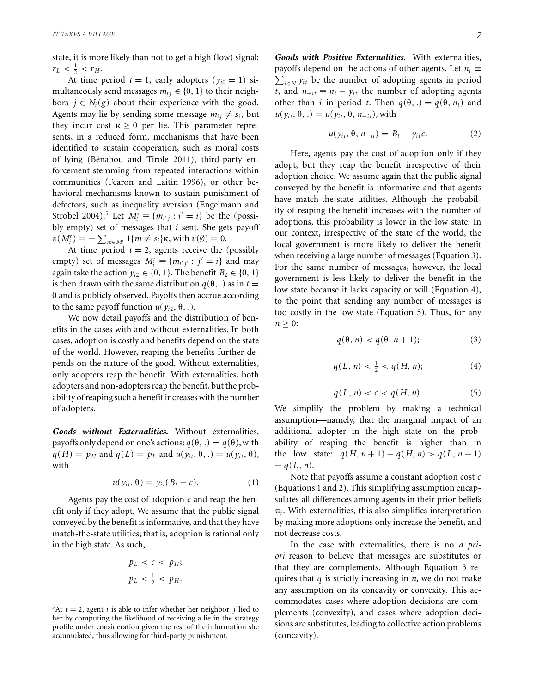state, it is more likely than not to get a high (low) signal:  $r_L < \frac{1}{2} < r_H$ .

At time period  $t = 1$ , early adopters  $(y_{i0} = 1)$  simultaneously send messages  $m_{ij} \in \{0, 1\}$  to their neighbors  $j \in N_i(g)$  about their experience with the good. Agents may lie by sending some message  $m_{ij} \neq s_i$ , but they incur cost  $\kappa \geq 0$  per lie. This parameter represents, in a reduced form, mechanisms that have been identified to sustain cooperation, such as moral costs of lying (Bénabou and Tirole 2011), third-party enforcement stemming from repeated interactions within communities (Fearon and Laitin 1996), or other behavioral mechanisms known to sustain punishment of defectors, such as inequality aversion (Engelmann and Strobel 2004).<sup>5</sup> Let  $M_i^s \equiv \{m_{i'j} : i' = i\}$  be the (possibly empty) set of messages that *i* sent. She gets payoff  $v(M_i^s) = -\sum_{m \in M_i^s} 1\{m \neq s_i\}$ <sub>K</sub>, with  $v(\emptyset) = 0$ .

At time period  $t = 2$ , agents receive the (possibly empty) set of messages  $M_i^r \equiv \{m_{i'j'} : j' = i\}$  and may again take the action  $y_{i2} \in \{0, 1\}$ . The benefit  $B_2 \in \{0, 1\}$ is then drawn with the same distribution  $q(\theta, .)$  as in  $t =$ 0 and is publicly observed. Payoffs then accrue according to the same payoff function  $u(y_{i2}, \theta, \cdot)$ .

We now detail payoffs and the distribution of benefits in the cases with and without externalities. In both cases, adoption is costly and benefits depend on the state of the world. However, reaping the benefits further depends on the nature of the good. Without externalities, only adopters reap the benefit. With externalities, both adopters and non-adopters reap the benefit, but the probability of reaping such a benefit increases with the number of adopters.

*Goods without Externalities.* Without externalities, payoffs only depend on one's actions:  $q(\theta, .) = q(\theta)$ , with  $q(H) = p<sub>H</sub>$  and  $q(L) = p<sub>L</sub>$  and  $u(y<sub>it</sub>, \theta, .) = u(y<sub>it</sub>, \theta),$ with

$$
u(y_{it}, \theta) = y_{it}(B_t - c). \tag{1}
$$

Agents pay the cost of adoption *c* and reap the benefit only if they adopt. We assume that the public signal conveyed by the benefit is informative, and that they have match-the-state utilities; that is, adoption is rational only in the high state. As such,

$$
p_L < c < p_H; \\
p_L < \frac{1}{2} < p_H.
$$

<sup>5</sup>At  $t = 2$ , agent *i* is able to infer whether her neighbor *j* lied to her by computing the likelihood of receiving a lie in the strategy profile under consideration given the rest of the information she accumulated, thus allowing for third-party punishment.

*Goods with Positive Externalities.* With externalities,  $\sum_{i \in N} y_{it}$  be the number of adopting agents in period payoffs depend on the actions of other agents. Let  $n_t \equiv$ *t*, and  $n_{-it} \equiv n_t - y_{it}$  the number of adopting agents other than *i* in period *t*. Then  $q(\theta, .) = q(\theta, n_t)$  and  $u(y_{it}, \theta, .) = u(y_{it}, \theta, n_{-it})$ , with

$$
u(y_{it}, \theta, n_{-it}) = B_t - y_{it}c. \tag{2}
$$

Here, agents pay the cost of adoption only if they adopt, but they reap the benefit irrespective of their adoption choice. We assume again that the public signal conveyed by the benefit is informative and that agents have match-the-state utilities. Although the probability of reaping the benefit increases with the number of adoptions, this probability is lower in the low state. In our context, irrespective of the state of the world, the local government is more likely to deliver the benefit when receiving a large number of messages (Equation 3). For the same number of messages, however, the local government is less likely to deliver the benefit in the low state because it lacks capacity or will (Equation 4), to the point that sending any number of messages is too costly in the low state (Equation 5). Thus, for any  $n \geq 0$ :

$$
q(\theta, n) < q(\theta, n+1); \tag{3}
$$

$$
q(L, n) < \frac{1}{2} < q(H, n); \tag{4}
$$

$$
q(L, n) < c < q(H, n). \tag{5}
$$

We simplify the problem by making a technical assumption—namely, that the marginal impact of an additional adopter in the high state on the probability of reaping the benefit is higher than in the low state:  $q(H, n+1) - q(H, n) > q(L, n+1)$  $-q(L, n)$ .

Note that payoffs assume a constant adoption cost *c* (Equations 1 and 2). This simplifying assumption encapsulates all differences among agents in their prior beliefs  $\pi_i$ . With externalities, this also simplifies interpretation by making more adoptions only increase the benefit, and not decrease costs.

In the case with externalities, there is no *a priori* reason to believe that messages are substitutes or that they are complements. Although Equation 3 requires that *q* is strictly increasing in *n*, we do not make any assumption on its concavity or convexity. This accommodates cases where adoption decisions are complements (convexity), and cases where adoption decisions are substitutes, leading to collective action problems (concavity).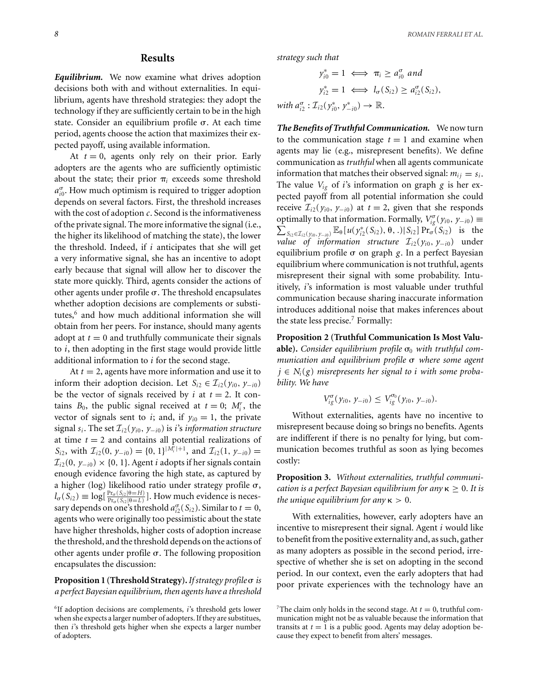## **Results**

*Equilibrium.* We now examine what drives adoption decisions both with and without externalities. In equilibrium, agents have threshold strategies: they adopt the technology if they are sufficiently certain to be in the high state. Consider an equilibrium profile  $\sigma$ . At each time period, agents choose the action that maximizes their expected payoff, using available information.

At  $t = 0$ , agents only rely on their prior. Early adopters are the agents who are sufficiently optimistic about the state; their prior  $\pi_i$  exceeds some threshold  $a_{i0}^{\sigma}$ . How much optimism is required to trigger adoption depends on several factors. First, the threshold increases with the cost of adoption *c*. Second is the informativeness of the private signal. The more informative the signal (i.e., the higher its likelihood of matching the state), the lower the threshold. Indeed, if *i* anticipates that she will get a very informative signal, she has an incentive to adopt early because that signal will allow her to discover the state more quickly. Third, agents consider the actions of other agents under profile  $\sigma$ . The threshold encapsulates whether adoption decisions are complements or substitutes,<sup>6</sup> and how much additional information she will obtain from her peers. For instance, should many agents adopt at  $t = 0$  and truthfully communicate their signals to *i*, then adopting in the first stage would provide little additional information to *i* for the second stage.

At  $t = 2$ , agents have more information and use it to inform their adoption decision. Let  $S_{i2} \in \mathcal{I}_{i2}(y_{i0}, y_{-i0})$ be the vector of signals received by  $i$  at  $t = 2$ . It contains  $B_0$ , the public signal received at  $t = 0$ ;  $M_i^r$ , the vector of signals sent to *i*; and, if  $y_{i0} = 1$ , the private signal  $s_i$ . The set  $\mathcal{I}_{i2}(y_{i0}, y_{-i0})$  is *i*'s *information structure* at time  $t = 2$  and contains all potential realizations of *S*<sub>*i*2</sub>, with  $\mathcal{I}_{i2}(0, y_{-i0}) = \{0, 1\}^{|M_i|+1}$ , and  $\mathcal{I}_{i2}(1, y_{-i0}) =$  $\mathcal{I}_{i2}(0, y_{-i0}) \times \{0, 1\}$ . Agent *i* adopts if her signals contain enough evidence favoring the high state, as captured by a higher (log) likelihood ratio under strategy profile  $\sigma$ ,  $l_{\sigma}(S_{i2}) \equiv \log[\frac{Pr_{\sigma}(S_{i2}|\theta=H)}{Pr_{\sigma}(S_{i2}|\theta=L)}]$ . How much evidence is necessary depends on one's threshold  $a_{i2}^{\sigma}(S_{i2})$ . Similar to  $t=0$ , agents who were originally too pessimistic about the state have higher thresholds, higher costs of adoption increase the threshold, and the threshold depends on the actions of other agents under profile  $\sigma$ . The following proposition encapsulates the discussion:

**Proposition 1 (Threshold Strategy).***If strategy profile is a perfect Bayesian equilibrium, then agents have a threshold* *strategy such that*

$$
y_{i0}^* = 1 \iff \pi_i \ge a_{i0}^\sigma \text{ and}
$$
  

$$
y_{i2}^* = 1 \iff l_\sigma(S_{i2}) \ge a_{i2}^\sigma(S_{i2}),
$$
  
with  $a_{i2}^\sigma : \mathcal{I}_{i2}(y_{i0}^*, y_{-i0}^*) \to \mathbb{R}.$ 

*The Benefits of Truthful Communication.* We now turn to the communication stage  $t = 1$  and examine when agents may lie (e.g., misrepresent benefits). We define communication as *truthful* when all agents communicate information that matches their observed signal:  $m_{ij} = s_i$ . The value  $V_{ig}$  of *i*'s information on graph *g* is her expected payoff from all potential information she could receive  $\mathcal{I}_{i2}(y_{i0}, y_{-i0})$  at  $t = 2$ , given that she responds optimally to that information. Formally,  $V_{ig}^{\sigma}(y_{i0}, y_{-i0}) \equiv$  $\sum_{S_{i2} \in \mathcal{I}_{i2}(y_{i0}, y_{-i0})} \mathbb{E}_{\theta}[u(y_{i2}^*(S_{i2}), \theta, .)|S_{i2}] Pr_{\sigma}^*(S_{i2})$  is the *value of information structure* I*i*2(*yi*0, *y*<sup>−</sup>*i*0) under equilibrium profile  $\sigma$  on graph  $g$ . In a perfect Bayesian equilibrium where communication is not truthful, agents misrepresent their signal with some probability. Intuitively, *i*'s information is most valuable under truthful communication because sharing inaccurate information introduces additional noise that makes inferences about the state less precise.<sup>7</sup> Formally:

**Proposition 2 (Truthful Communication Is Most Valu**able). Consider equilibrium profile  $\sigma_0$  with truthful com*munication and equilibrium profile where some agent*  $j \in N_i(g)$  *misrepresents her signal to i with some probability. We have*

$$
V_{ig}^{\sigma}(y_{i0}, y_{-i0}) \leq V_{ig}^{\sigma_0}(y_{i0}, y_{-i0}).
$$

Without externalities, agents have no incentive to misrepresent because doing so brings no benefits. Agents are indifferent if there is no penalty for lying, but communication becomes truthful as soon as lying becomes costly:

**Proposition 3.** *Without externalities, truthful communication is a perfect Bayesian equilibrium for any*  $\kappa \geq 0$ *. It is the unique equilibrium for any*  $\kappa > 0$ *.* 

With externalities, however, early adopters have an incentive to misrepresent their signal. Agent *i* would like to benefit from the positive externality and, as such, gather as many adopters as possible in the second period, irrespective of whether she is set on adopting in the second period. In our context, even the early adopters that had poor private experiences with the technology have an

<sup>&</sup>lt;sup>6</sup>If adoption decisions are complements, *i*'s threshold gets lower when she expects a larger number of adopters. If they are substitues, then *i*'s threshold gets higher when she expects a larger number of adopters.

<sup>&</sup>lt;sup>7</sup>The claim only holds in the second stage. At  $t = 0$ , truthful communication might not be as valuable because the information that transits at  $t = 1$  is a public good. Agents may delay adoption because they expect to benefit from alters' messages.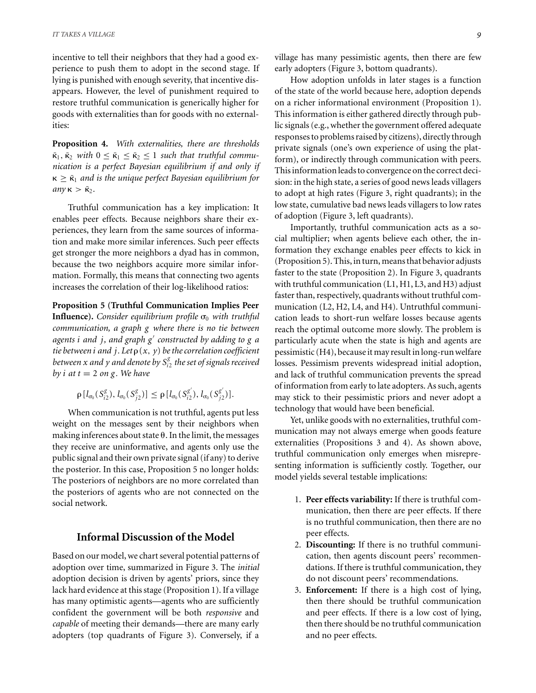incentive to tell their neighbors that they had a good experience to push them to adopt in the second stage. If lying is punished with enough severity, that incentive disappears. However, the level of punishment required to restore truthful communication is generically higher for goods with externalities than for goods with no externalities:

**Proposition 4.** *With externalities, there are thresholds*  $\bar{\kappa}_1$ ,  $\bar{\kappa}_2$  *with*  $0 \leq \bar{\kappa}_1 \leq \bar{\kappa}_2 \leq 1$  *such that truthful communication is a perfect Bayesian equilibrium if and only if*  $\kappa \geq \bar{\kappa}_1$  *and is the unique perfect Bayesian equilibrium for*  $any \kappa > \bar{\kappa}_2$ .

Truthful communication has a key implication: It enables peer effects. Because neighbors share their experiences, they learn from the same sources of information and make more similar inferences. Such peer effects get stronger the more neighbors a dyad has in common, because the two neighbors acquire more similar information. Formally, this means that connecting two agents increases the correlation of their log-likelihood ratios:

**Proposition 5 (Truthful Communication Implies Peer Influence).** *Consider equilibrium profile*  $\sigma_0$  *with truthful communication, a graph g where there is no tie between agents i and j , and graph g constructed by adding to g a tie between i and j. Let* $p(x, y)$  *be the correlation coefficient between x and y and denote by S<sup>g</sup> <sup>i</sup>*<sup>2</sup> *the set of signals received by i at t* = 2 *on g*. We have

$$
\rho\left[l_{\sigma_0}(S_{i2}^g), l_{\sigma_0}(S_{j2}^g)\right] \leq \rho\left[l_{\sigma_0}(S_{i2}^{g'}), l_{\sigma_0}(S_{j2}^{g'})\right].
$$

When communication is not truthful, agents put less weight on the messages sent by their neighbors when making inferences about state  $\theta$ . In the limit, the messages they receive are uninformative, and agents only use the public signal and their own private signal (if any) to derive the posterior. In this case, Proposition 5 no longer holds: The posteriors of neighbors are no more correlated than the posteriors of agents who are not connected on the social network.

## **Informal Discussion of the Model**

Based on our model, we chart several potential patterns of adoption over time, summarized in Figure 3. The *initial* adoption decision is driven by agents' priors, since they lack hard evidence at this stage (Proposition 1). If a village has many optimistic agents—agents who are sufficiently confident the government will be both *responsive* and *capable* of meeting their demands—there are many early adopters (top quadrants of Figure 3). Conversely, if a village has many pessimistic agents, then there are few early adopters (Figure 3, bottom quadrants).

How adoption unfolds in later stages is a function of the state of the world because here, adoption depends on a richer informational environment (Proposition 1). This information is either gathered directly through public signals (e.g., whether the government offered adequate responses to problems raised by citizens), directly through private signals (one's own experience of using the platform), or indirectly through communication with peers. This information leads to convergence on the correct decision: in the high state, a series of good news leads villagers to adopt at high rates (Figure 3, right quadrants); in the low state, cumulative bad news leads villagers to low rates of adoption (Figure 3, left quadrants).

Importantly, truthful communication acts as a social multiplier; when agents believe each other, the information they exchange enables peer effects to kick in (Proposition 5). This, in turn, means that behavior adjusts faster to the state (Proposition 2). In Figure 3, quadrants with truthful communication (L1, H1, L3, and H3) adjust faster than, respectively, quadrants without truthful communication (L2, H2, L4, and H4). Untruthful communication leads to short-run welfare losses because agents reach the optimal outcome more slowly. The problem is particularly acute when the state is high and agents are pessimistic (H4), because it may result in long-run welfare losses. Pessimism prevents widespread initial adoption, and lack of truthful communication prevents the spread of information from early to late adopters. As such, agents may stick to their pessimistic priors and never adopt a technology that would have been beneficial.

Yet, unlike goods with no externalities, truthful communication may not always emerge when goods feature externalities (Propositions 3 and 4). As shown above, truthful communication only emerges when misrepresenting information is sufficiently costly. Together, our model yields several testable implications:

- 1. **Peer effects variability:** If there is truthful communication, then there are peer effects. If there is no truthful communication, then there are no peer effects.
- 2. **Discounting:** If there is no truthful communication, then agents discount peers' recommendations. If there is truthful communication, they do not discount peers' recommendations.
- 3. **Enforcement:** If there is a high cost of lying, then there should be truthful communication and peer effects. If there is a low cost of lying, then there should be no truthful communication and no peer effects.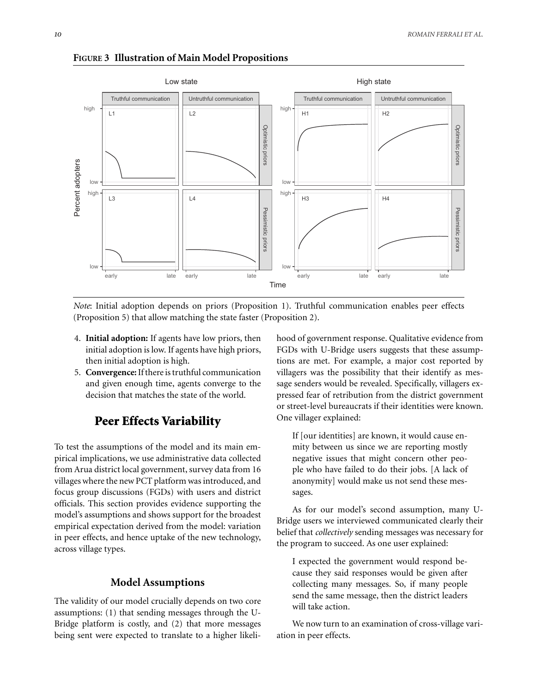

## **FIGURE 3 Illustration of Main Model Propositions**

*Note*: Initial adoption depends on priors (Proposition 1). Truthful communication enables peer effects (Proposition 5) that allow matching the state faster (Proposition 2).

- 4. **Initial adoption:** If agents have low priors, then initial adoption is low. If agents have high priors, then initial adoption is high.
- 5. **Convergence:**If there is truthful communication and given enough time, agents converge to the decision that matches the state of the world.

# **Peer Effects Variability**

To test the assumptions of the model and its main empirical implications, we use administrative data collected from Arua district local government, survey data from 16 villages where the new PCT platform was introduced, and focus group discussions (FGDs) with users and district officials. This section provides evidence supporting the model's assumptions and shows support for the broadest empirical expectation derived from the model: variation in peer effects, and hence uptake of the new technology, across village types.

## **Model Assumptions**

The validity of our model crucially depends on two core assumptions: (1) that sending messages through the U-Bridge platform is costly, and (2) that more messages being sent were expected to translate to a higher likelihood of government response. Qualitative evidence from FGDs with U-Bridge users suggests that these assumptions are met. For example, a major cost reported by villagers was the possibility that their identify as message senders would be revealed. Specifically, villagers expressed fear of retribution from the district government or street-level bureaucrats if their identities were known. One villager explained:

If [our identities] are known, it would cause enmity between us since we are reporting mostly negative issues that might concern other people who have failed to do their jobs. [A lack of anonymity] would make us not send these messages.

As for our model's second assumption, many U-Bridge users we interviewed communicated clearly their belief that *collectively* sending messages was necessary for the program to succeed. As one user explained:

I expected the government would respond because they said responses would be given after collecting many messages. So, if many people send the same message, then the district leaders will take action.

We now turn to an examination of cross-village variation in peer effects.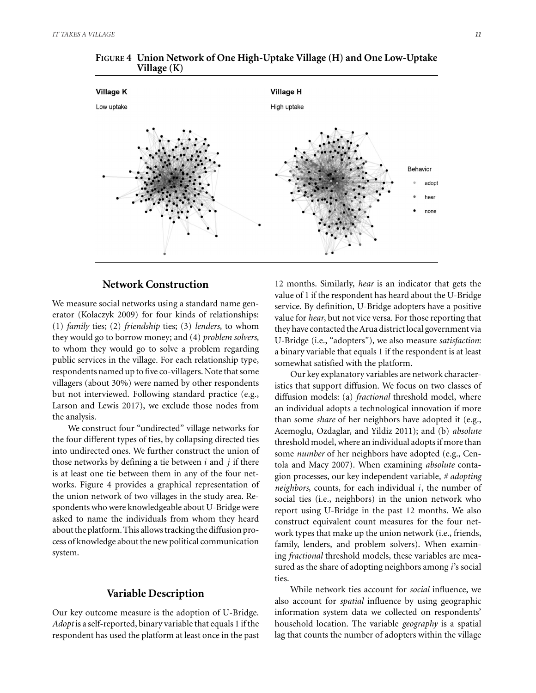adopt hear none



**FIGURE 4 Union Network of One High-Uptake Village (H) and One Low-Uptake**

## **Network Construction**

We measure social networks using a standard name generator (Kolaczyk 2009) for four kinds of relationships: (1) *family* ties; (2) *friendship* ties; (3) *lenders*, to whom they would go to borrow money; and (4) *problem solvers*, to whom they would go to solve a problem regarding public services in the village. For each relationship type, respondents named up to five co-villagers. Note that some villagers (about 30%) were named by other respondents but not interviewed. Following standard practice (e.g., Larson and Lewis 2017), we exclude those nodes from the analysis.

We construct four "undirected" village networks for the four different types of ties, by collapsing directed ties into undirected ones. We further construct the union of those networks by defining a tie between *i* and *j* if there is at least one tie between them in any of the four networks. Figure 4 provides a graphical representation of the union network of two villages in the study area. Respondents who were knowledgeable about U-Bridge were asked to name the individuals from whom they heard about the platform. This allows tracking the diffusion process of knowledge about the new political communication system.

## **Variable Description**

Our key outcome measure is the adoption of U-Bridge. *Adopt* is a self-reported, binary variable that equals 1 if the respondent has used the platform at least once in the past

12 months. Similarly, *hear* is an indicator that gets the value of 1 if the respondent has heard about the U-Bridge service. By definition, U-Bridge adopters have a positive value for *hear*, but not vice versa. For those reporting that they have contacted the Arua district local government via U-Bridge (i.e., "adopters"), we also measure *satisfaction*: a binary variable that equals 1 if the respondent is at least somewhat satisfied with the platform.

Our key explanatory variables are network characteristics that support diffusion. We focus on two classes of diffusion models: (a) *fractional* threshold model, where an individual adopts a technological innovation if more than some *share* of her neighbors have adopted it (e.g., Acemoglu, Ozdaglar, and Yildiz 2011); and (b) *absolute* threshold model, where an individual adopts if more than some *number* of her neighbors have adopted (e.g., Centola and Macy 2007). When examining *absolute* contagion processes, our key independent variable, *# adopting neighbors*, counts, for each individual *i*, the number of social ties (i.e., neighbors) in the union network who report using U-Bridge in the past 12 months. We also construct equivalent count measures for the four network types that make up the union network (i.e., friends, family, lenders, and problem solvers). When examining *fractional* threshold models, these variables are measured as the share of adopting neighbors among *i*'s social ties.

While network ties account for *social* influence, we also account for *spatial* influence by using geographic information system data we collected on respondents' household location. The variable *geography* is a spatial lag that counts the number of adopters within the village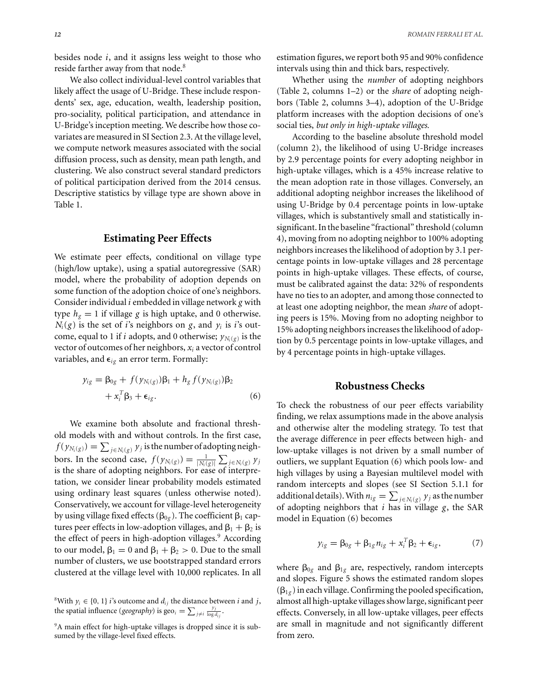besides node *i*, and it assigns less weight to those who reside farther away from that node.<sup>8</sup>

We also collect individual-level control variables that likely affect the usage of U-Bridge. These include respondents' sex, age, education, wealth, leadership position, pro-sociality, political participation, and attendance in U-Bridge's inception meeting. We describe how those covariates are measured in SI Section 2.3. At the village level, we compute network measures associated with the social diffusion process, such as density, mean path length, and clustering. We also construct several standard predictors of political participation derived from the 2014 census. Descriptive statistics by village type are shown above in Table 1.

## **Estimating Peer Effects**

We estimate peer effects, conditional on village type (high/low uptake), using a spatial autoregressive (SAR) model, where the probability of adoption depends on some function of the adoption choice of one's neighbors. Consider individual *i* embedded in village network *g* with type  $h_g = 1$  if village g is high uptake, and 0 otherwise.  $N_i(g)$  is the set of *i*'s neighbors on *g*, and  $y_i$  is *i*'s outcome, equal to 1 if *i* adopts, and 0 otherwise;  $y_{N_i(g)}$  is the vector of outcomes of her neighbors, *xi* a vector of control variables, and  $\epsilon_{ig}$  an error term. Formally:

$$
y_{ig} = \beta_{0g} + f(y_{N_i(g)})\beta_1 + h_g f(y_{N_i(g)})\beta_2
$$
  
+  $x_i^T \beta_3 + \epsilon_{ig}$ . (6)

We examine both absolute and fractional threshold models with and without controls. In the first case,  $f(\mathcal{Y}_{N_i(g)}) = \sum_{j \in N_i(g)} \mathcal{Y}_j$  is the number of adopting neighbors. In the second case,  $f(y_{N_i(g)}) = \frac{1}{|N_i(g)|} \sum_{j \in N_i(g)} y_j$ is the share of adopting neighbors. For ease of interpretation, we consider linear probability models estimated using ordinary least squares (unless otherwise noted). Conservatively, we account for village-level heterogeneity by using village fixed effects ( $\beta_{0g}$ ). The coefficient  $\beta_1$  captures peer effects in low-adoption villages, and  $\beta_1 + \beta_2$  is the effect of peers in high-adoption villages.<sup>9</sup> According to our model,  $\beta_1 = 0$  and  $\beta_1 + \beta_2 > 0$ . Due to the small number of clusters, we use bootstrapped standard errors clustered at the village level with 10,000 replicates. In all

estimation figures, we report both 95 and 90% confidence intervals using thin and thick bars, respectively.

Whether using the *number* of adopting neighbors (Table 2, columns 1–2) or the *share* of adopting neighbors (Table 2, columns 3–4), adoption of the U-Bridge platform increases with the adoption decisions of one's social ties, *but only in high-uptake villages.*

According to the baseline absolute threshold model (column 2), the likelihood of using U-Bridge increases by 2.9 percentage points for every adopting neighbor in high-uptake villages, which is a 45% increase relative to the mean adoption rate in those villages. Conversely, an additional adopting neighbor increases the likelihood of using U-Bridge by 0.4 percentage points in low-uptake villages, which is substantively small and statistically insignificant. In the baseline "fractional" threshold (column 4), moving from no adopting neighbor to 100% adopting neighbors increases the likelihood of adoption by 3.1 percentage points in low-uptake villages and 28 percentage points in high-uptake villages. These effects, of course, must be calibrated against the data: 32% of respondents have no ties to an adopter, and among those connected to at least one adopting neighbor, the mean *share* of adopting peers is 15%. Moving from no adopting neighbor to 15% adopting neighbors increases the likelihood of adoption by 0.5 percentage points in low-uptake villages, and by 4 percentage points in high-uptake villages.

## **Robustness Checks**

To check the robustness of our peer effects variability finding, we relax assumptions made in the above analysis and otherwise alter the modeling strategy. To test that the average difference in peer effects between high- and low-uptake villages is not driven by a small number of outliers, we supplant Equation (6) which pools low- and high villages by using a Bayesian multilevel model with random intercepts and slopes (see SI Section 5.1.1 for additional details). With  $n_{ig} = \sum_{j \in N_i(g)} \gamma_j$  as the number of adopting neighbors that  $i$  has in village  $g$ , the SAR model in Equation (6) becomes

$$
y_{ig} = \beta_{0g} + \beta_{1g} n_{ig} + x_i^T \beta_2 + \epsilon_{ig}, \qquad (7)
$$

where  $\beta_{0g}$  and  $\beta_{1g}$  are, respectively, random intercepts and slopes. Figure 5 shows the estimated random slopes  $(\beta_{1g})$  in each village. Confirming the pooled specification, almost all high-uptake villages show large, significant peer effects. Conversely, in all low-uptake villages, peer effects are small in magnitude and not significantly different from zero.

<sup>&</sup>lt;sup>8</sup>With  $y_i \in \{0, 1\}$  *i*'s outcome and  $d_{ij}$  the distance between *i* and *j*, the spatial influence (*geography*) is  $\text{geo}_i = \sum_{j \neq i} \frac{y_j}{\log d_{ij}}$ .

<sup>&</sup>lt;sup>9</sup>A main effect for high-uptake villages is dropped since it is subsumed by the village-level fixed effects.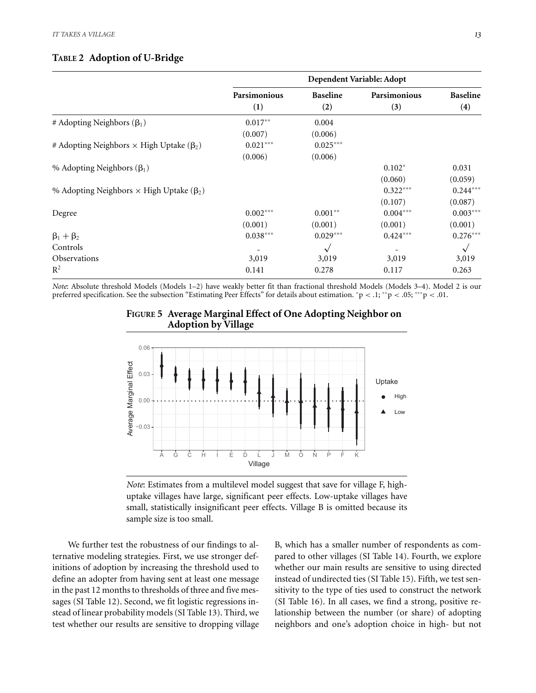|                                                         | Dependent Variable: Adopt |                        |                     |                        |  |
|---------------------------------------------------------|---------------------------|------------------------|---------------------|------------------------|--|
|                                                         | Parsimonious<br>(1)       | <b>Baseline</b><br>(2) | Parsimonious<br>(3) | <b>Baseline</b><br>(4) |  |
| # Adopting Neighbors $(\beta_1)$                        | $0.017**$                 | 0.004                  |                     |                        |  |
|                                                         | (0.007)                   | (0.006)                |                     |                        |  |
| # Adopting Neighbors $\times$ High Uptake ( $\beta_2$ ) | $0.021***$                | $0.025***$             |                     |                        |  |
|                                                         | (0.006)                   | (0.006)                |                     |                        |  |
| % Adopting Neighbors $(\beta_1)$                        |                           |                        | $0.102*$            | 0.031                  |  |
|                                                         |                           |                        | (0.060)             | (0.059)                |  |
| % Adopting Neighbors $\times$ High Uptake ( $\beta_2$ ) |                           |                        | $0.322***$          | $0.244***$             |  |
|                                                         |                           |                        | (0.107)             | (0.087)                |  |
| Degree                                                  | $0.002***$                | $0.001**$              | $0.004***$          | $0.003***$             |  |
|                                                         | (0.001)                   | (0.001)                | (0.001)             | (0.001)                |  |
| $\beta_1 + \beta_2$                                     | $0.038***$                | $0.029***$             | $0.424***$          | $0.276***$             |  |
| Controls                                                |                           | $\sqrt{ }$             |                     | $\sqrt{}$              |  |
| <b>Observations</b>                                     | 3,019                     | 3,019                  | 3,019               | 3,019                  |  |
| $R^2$                                                   | 0.141                     | 0.278                  | 0.117               | 0.263                  |  |

## **TABLE 2 Adoption of U-Bridge**

*Note*: Absolute threshold Models (Models 1–2) have weakly better fit than fractional threshold Models (Models 3–4). Model 2 is our preferred specification. See the subsection "Estimating Peer Effects" for details about estimation. <sup>∗</sup>p < .1; ∗∗p < .05; ∗∗∗p < .01.



## **FIGURE 5 Average Marginal Effect of One Adopting Neighbor on Adoption by Village**

*Note*: Estimates from a multilevel model suggest that save for village F, highuptake villages have large, significant peer effects. Low-uptake villages have small, statistically insignificant peer effects. Village B is omitted because its sample size is too small.

We further test the robustness of our findings to alternative modeling strategies. First, we use stronger definitions of adoption by increasing the threshold used to define an adopter from having sent at least one message in the past 12 months to thresholds of three and five messages (SI Table 12). Second, we fit logistic regressions instead of linear probability models (SI Table 13). Third, we test whether our results are sensitive to dropping village

B, which has a smaller number of respondents as compared to other villages (SI Table 14). Fourth, we explore whether our main results are sensitive to using directed instead of undirected ties (SI Table 15). Fifth, we test sensitivity to the type of ties used to construct the network (SI Table 16). In all cases, we find a strong, positive relationship between the number (or share) of adopting neighbors and one's adoption choice in high- but not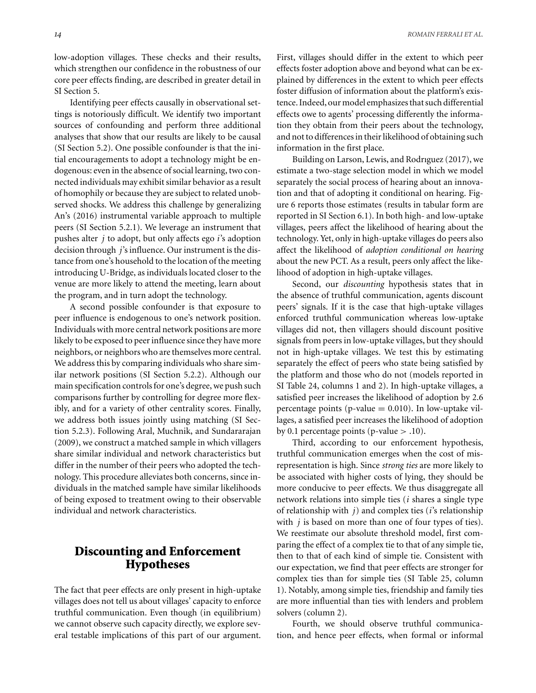low-adoption villages. These checks and their results, which strengthen our confidence in the robustness of our core peer effects finding, are described in greater detail in SI Section 5.

Identifying peer effects causally in observational settings is notoriously difficult. We identify two important sources of confounding and perform three additional analyses that show that our results are likely to be causal (SI Section 5.2). One possible confounder is that the initial encouragements to adopt a technology might be endogenous: even in the absence of social learning, two connected individuals may exhibit similar behavior as a result of homophily or because they are subject to related unobserved shocks. We address this challenge by generalizing An's (2016) instrumental variable approach to multiple peers (SI Section 5.2.1). We leverage an instrument that pushes alter *j* to adopt, but only affects ego *i*'s adoption decision through *j*'s influence. Our instrument is the distance from one's household to the location of the meeting introducing U-Bridge, as individuals located closer to the venue are more likely to attend the meeting, learn about the program, and in turn adopt the technology.

A second possible confounder is that exposure to peer influence is endogenous to one's network position. Individuals with more central network positions are more likely to be exposed to peer influence since they have more neighbors, or neighbors who are themselves more central. We address this by comparing individuals who share similar network positions (SI Section 5.2.2). Although our main specification controls for one's degree, we push such comparisons further by controlling for degree more flexibly, and for a variety of other centrality scores. Finally, we address both issues jointly using matching (SI Section 5.2.3). Following Aral, Muchnik, and Sundararajan (2009), we construct a matched sample in which villagers share similar individual and network characteristics but differ in the number of their peers who adopted the technology. This procedure alleviates both concerns, since individuals in the matched sample have similar likelihoods of being exposed to treatment owing to their observable individual and network characteristics.

# **Discounting and Enforcement Hypotheses**

The fact that peer effects are only present in high-uptake villages does not tell us about villages' capacity to enforce truthful communication. Even though (in equilibrium) we cannot observe such capacity directly, we explore several testable implications of this part of our argument. First, villages should differ in the extent to which peer effects foster adoption above and beyond what can be explained by differences in the extent to which peer effects foster diffusion of information about the platform's existence. Indeed, our model emphasizes that such differential effects owe to agents' processing differently the information they obtain from their peers about the technology, and not to differences in their likelihood of obtaining such information in the first place.

Building on Larson, Lewis, and Rodrıguez (2017), we estimate a two-stage selection model in which we model separately the social process of hearing about an innovation and that of adopting it conditional on hearing. Figure 6 reports those estimates (results in tabular form are reported in SI Section 6.1). In both high- and low-uptake villages, peers affect the likelihood of hearing about the technology. Yet, only in high-uptake villages do peers also affect the likelihood of *adoption conditional on hearing* about the new PCT. As a result, peers only affect the likelihood of adoption in high-uptake villages.

Second, our *discounting* hypothesis states that in the absence of truthful communication, agents discount peers' signals. If it is the case that high-uptake villages enforced truthful communication whereas low-uptake villages did not, then villagers should discount positive signals from peers in low-uptake villages, but they should not in high-uptake villages. We test this by estimating separately the effect of peers who state being satisfied by the platform and those who do not (models reported in SI Table 24, columns 1 and 2). In high-uptake villages, a satisfied peer increases the likelihood of adoption by 2.6 percentage points (p-value  $= 0.010$ ). In low-uptake villages, a satisfied peer increases the likelihood of adoption by 0.1 percentage points (p-value  $> .10$ ).

Third, according to our enforcement hypothesis, truthful communication emerges when the cost of misrepresentation is high. Since *strong ties* are more likely to be associated with higher costs of lying, they should be more conducive to peer effects. We thus disaggregate all network relations into simple ties (*i* shares a single type of relationship with *j*) and complex ties (*i*'s relationship with *j* is based on more than one of four types of ties). We reestimate our absolute threshold model, first comparing the effect of a complex tie to that of any simple tie, then to that of each kind of simple tie. Consistent with our expectation, we find that peer effects are stronger for complex ties than for simple ties (SI Table 25, column 1). Notably, among simple ties, friendship and family ties are more influential than ties with lenders and problem solvers (column 2).

Fourth, we should observe truthful communication, and hence peer effects, when formal or informal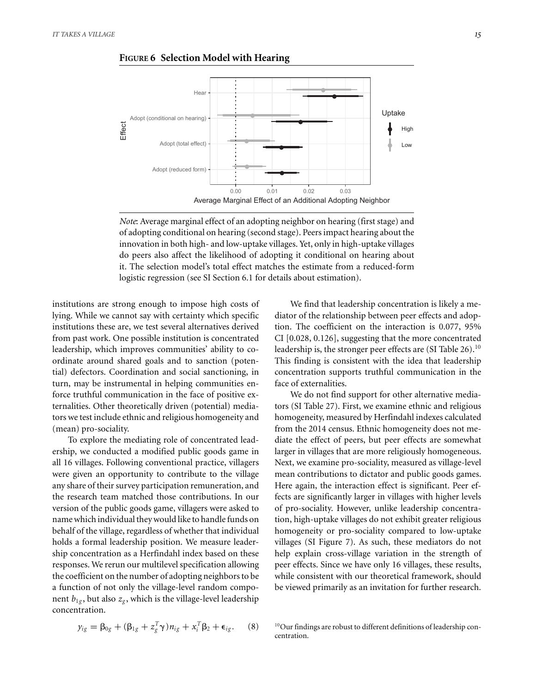

**FIGURE 6 Selection Model with Hearing**



institutions are strong enough to impose high costs of lying. While we cannot say with certainty which specific institutions these are, we test several alternatives derived from past work. One possible institution is concentrated leadership, which improves communities' ability to coordinate around shared goals and to sanction (potential) defectors. Coordination and social sanctioning, in turn, may be instrumental in helping communities enforce truthful communication in the face of positive externalities. Other theoretically driven (potential) mediators we test include ethnic and religious homogeneity and (mean) pro-sociality.

To explore the mediating role of concentrated leadership, we conducted a modified public goods game in all 16 villages. Following conventional practice, villagers were given an opportunity to contribute to the village any share of their survey participation remuneration, and the research team matched those contributions. In our version of the public goods game, villagers were asked to name which individual they would like to handle funds on behalf of the village, regardless of whether that individual holds a formal leadership position. We measure leadership concentration as a Herfindahl index based on these responses. We rerun our multilevel specification allowing the coefficient on the number of adopting neighbors to be a function of not only the village-level random component  $b_{1g}$ , but also  $z_g$ , which is the village-level leadership concentration.

$$
y_{ig} = \beta_{0g} + (\beta_{1g} + z_g^T \gamma) n_{ig} + x_i^T \beta_2 + \epsilon_{ig}. \quad (8)
$$

We find that leadership concentration is likely a mediator of the relationship between peer effects and adoption. The coefficient on the interaction is 0.077, 95% CI [0.028, 0.126], suggesting that the more concentrated leadership is, the stronger peer effects are (SI Table 26).<sup>10</sup> This finding is consistent with the idea that leadership concentration supports truthful communication in the face of externalities.

We do not find support for other alternative mediators (SI Table 27). First, we examine ethnic and religious homogeneity, measured by Herfindahl indexes calculated from the 2014 census. Ethnic homogeneity does not mediate the effect of peers, but peer effects are somewhat larger in villages that are more religiously homogeneous. Next, we examine pro-sociality, measured as village-level mean contributions to dictator and public goods games. Here again, the interaction effect is significant. Peer effects are significantly larger in villages with higher levels of pro-sociality. However, unlike leadership concentration, high-uptake villages do not exhibit greater religious homogeneity or pro-sociality compared to low-uptake villages (SI Figure 7). As such, these mediators do not help explain cross-village variation in the strength of peer effects. Since we have only 16 villages, these results, while consistent with our theoretical framework, should be viewed primarily as an invitation for further research.

#### <sup>10</sup>Our findings are robust to different definitions of leadership concentration.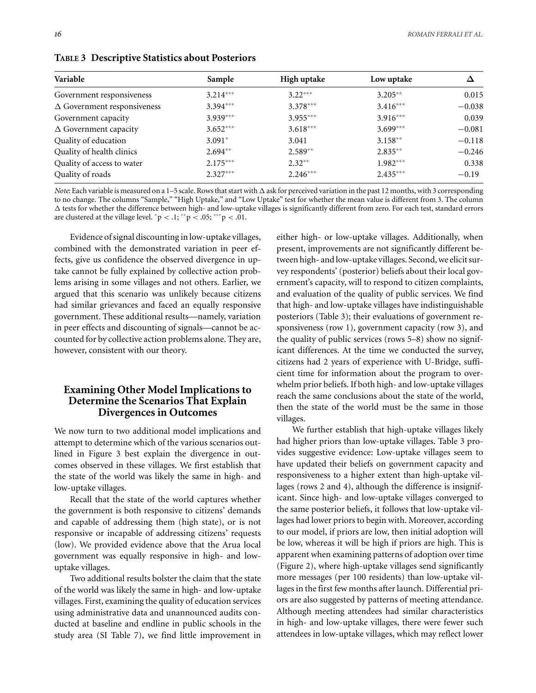| Variable                           | Sample     | High uptake | Low uptake |          |  |
|------------------------------------|------------|-------------|------------|----------|--|
| Government responsiveness          | $3.214***$ | $3.22***$   | $3.205**$  | 0.015    |  |
| $\Delta$ Government responsiveness | $3.394***$ | $3.378***$  | $3.416***$ | $-0.038$ |  |
| Government capacity                | $3.939***$ | $3.955***$  | $3.916***$ | 0.039    |  |
| $\Delta$ Government capacity       | $3.652***$ | $3.618***$  | $3.699***$ | $-0.081$ |  |
| Quality of education               | $3.091*$   | 3.041       | $3.158**$  | $-0.118$ |  |
| Quality of health clinics          | $2.694**$  | $2.589**$   | $2.835**$  | $-0.246$ |  |
| Quality of access to water         | $2.175***$ | $2.32**$    | $1.982***$ | 0.338    |  |
| Quality of roads                   | $2.327***$ | $2.246***$  | $2.435***$ | $-0.19$  |  |

**TABLE 3 Descriptive Statistics about Posteriors**

*Note*: Each variable is measured on a 1–5 scale. Rows that start with  $\Delta$  ask for perceived variation in the past 12 months, with 3 corresponding to no change. The columns "Sample," "High Uptake," and "Low Uptake" test for whether the mean value is different from 3. The column  $\Delta$  tests for whether the difference between high- and low-uptake villages is significantly different from zero. For each test, standard errors are clustered at the village level.  $p < 0.1$ ; \*\*p  $< 0.05$ ; \*\*\*p  $< 0.01$ .

Evidence of signal discounting in low-uptake villages, combined with the demonstrated variation in peer effects, give us confidence the observed divergence in uptake cannot be fully explained by collective action problems arising in some villages and not others. Earlier, we argued that this scenario was unlikely because citizens had similar grievances and faced an equally responsive government. These additional results—namely, variation in peer effects and discounting of signals—cannot be accounted for by collective action problems alone. They are, however, consistent with our theory.

## **Examining Other Model Implications to Determine the Scenarios That Explain Divergences in Outcomes**

We now turn to two additional model implications and attempt to determine which of the various scenarios outlined in Figure 3 best explain the divergence in outcomes observed in these villages. We first establish that the state of the world was likely the same in high- and low-uptake villages.

Recall that the state of the world captures whether the government is both responsive to citizens' demands and capable of addressing them (high state), or is not responsive or incapable of addressing citizens' requests (low). We provided evidence above that the Arua local government was equally responsive in high- and lowuptake villages.

Two additional results bolster the claim that the state of the world was likely the same in high- and low-uptake villages. First, examining the quality of education services using administrative data and unannounced audits conducted at baseline and endline in public schools in the study area (SI Table 7), we find little improvement in either high- or low-uptake villages. Additionally, when present, improvements are not significantly different between high- and low-uptake villages. Second, we elicit survey respondents' (posterior) beliefs about their local government's capacity, will to respond to citizen complaints, and evaluation of the quality of public services. We find that high- and low-uptake villages have indistinguishable posteriors (Table 3); their evaluations of government responsiveness (row 1), government capacity (row 3), and the quality of public services (rows 5–8) show no significant differences. At the time we conducted the survey, citizens had 2 years of experience with U-Bridge, sufficient time for information about the program to overwhelm prior beliefs. If both high- and low-uptake villages reach the same conclusions about the state of the world, then the state of the world must be the same in those villages.

We further establish that high-uptake villages likely had higher priors than low-uptake villages. Table 3 provides suggestive evidence: Low-uptake villages seem to have updated their beliefs on government capacity and responsiveness to a higher extent than high-uptake villages (rows 2 and 4), although the difference is insignificant. Since high- and low-uptake villages converged to the same posterior beliefs, it follows that low-uptake villages had lower priors to begin with. Moreover, according to our model, if priors are low, then initial adoption will be low, whereas it will be high if priors are high. This is apparent when examining patterns of adoption over time (Figure 2), where high-uptake villages send significantly more messages (per 100 residents) than low-uptake villages in the first few months after launch. Differential priors are also suggested by patterns of meeting attendance. Although meeting attendees had similar characteristics in high- and low-uptake villages, there were fewer such attendees in low-uptake villages, which may reflect lower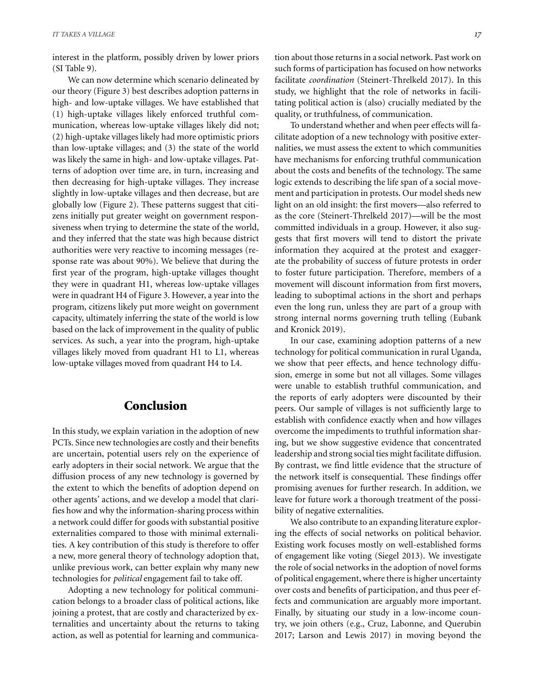interest in the platform, possibly driven by lower priors (SI Table 9).

We can now determine which scenario delineated by our theory (Figure 3) best describes adoption patterns in high- and low-uptake villages. We have established that (1) high-uptake villages likely enforced truthful communication, whereas low-uptake villages likely did not; (2) high-uptake villages likely had more optimistic priors than low-uptake villages; and (3) the state of the world was likely the same in high- and low-uptake villages. Patterns of adoption over time are, in turn, increasing and then decreasing for high-uptake villages. They increase slightly in low-uptake villages and then decrease, but are globally low (Figure 2). These patterns suggest that citizens initially put greater weight on government responsiveness when trying to determine the state of the world, and they inferred that the state was high because district authorities were very reactive to incoming messages (response rate was about 90%). We believe that during the first year of the program, high-uptake villages thought they were in quadrant H1, whereas low-uptake villages were in quadrant H4 of Figure 3. However, a year into the program, citizens likely put more weight on government capacity, ultimately inferring the state of the world is low based on the lack of improvement in the quality of public services. As such, a year into the program, high-uptake villages likely moved from quadrant H1 to L1, whereas low-uptake villages moved from quadrant H4 to L4.

# **Conclusion**

In this study, we explain variation in the adoption of new PCTs. Since new technologies are costly and their benefits are uncertain, potential users rely on the experience of early adopters in their social network. We argue that the diffusion process of any new technology is governed by the extent to which the benefits of adoption depend on other agents' actions, and we develop a model that clarifies how and why the information-sharing process within a network could differ for goods with substantial positive externalities compared to those with minimal externalities. A key contribution of this study is therefore to offer a new, more general theory of technology adoption that, unlike previous work, can better explain why many new technologies for *political* engagement fail to take off.

Adopting a new technology for political communication belongs to a broader class of political actions, like joining a protest, that are costly and characterized by externalities and uncertainty about the returns to taking action, as well as potential for learning and communication about those returns in a social network. Past work on such forms of participation has focused on how networks facilitate *coordination* (Steinert-Threlkeld 2017). In this study, we highlight that the role of networks in facilitating political action is (also) crucially mediated by the quality, or truthfulness, of communication.

To understand whether and when peer effects will facilitate adoption of a new technology with positive externalities, we must assess the extent to which communities have mechanisms for enforcing truthful communication about the costs and benefits of the technology. The same logic extends to describing the life span of a social movement and participation in protests. Our model sheds new light on an old insight: the first movers—also referred to as the core (Steinert-Threlkeld 2017)—will be the most committed individuals in a group. However, it also suggests that first movers will tend to distort the private information they acquired at the protest and exaggerate the probability of success of future protests in order to foster future participation. Therefore, members of a movement will discount information from first movers, leading to suboptimal actions in the short and perhaps even the long run, unless they are part of a group with strong internal norms governing truth telling (Eubank and Kronick 2019).

In our case, examining adoption patterns of a new technology for political communication in rural Uganda, we show that peer effects, and hence technology diffusion, emerge in some but not all villages. Some villages were unable to establish truthful communication, and the reports of early adopters were discounted by their peers. Our sample of villages is not sufficiently large to establish with confidence exactly when and how villages overcome the impediments to truthful information sharing, but we show suggestive evidence that concentrated leadership and strong social ties might facilitate diffusion. By contrast, we find little evidence that the structure of the network itself is consequential. These findings offer promising avenues for further research. In addition, we leave for future work a thorough treatment of the possibility of negative externalities.

We also contribute to an expanding literature exploring the effects of social networks on political behavior. Existing work focuses mostly on well-established forms of engagement like voting (Siegel 2013). We investigate the role of social networks in the adoption of novel forms of political engagement, where there is higher uncertainty over costs and benefits of participation, and thus peer effects and communication are arguably more important. Finally, by situating our study in a low-income country, we join others (e.g., Cruz, Labonne, and Querubin 2017; Larson and Lewis 2017) in moving beyond the